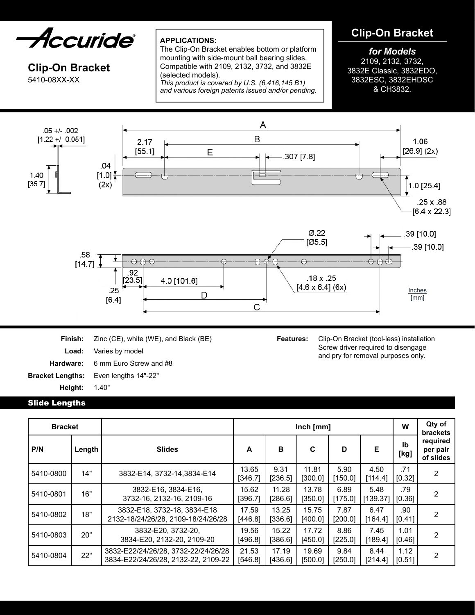*Accuride* 

# **Clip-On Bracket** 5410-08XX-XX

# **APPLICATIONS:**

The Clip-On Bracket enables bottom or platform mounting with side-mount ball bearing slides. Compatible with 2109, 2132, 3732, and 3832E (selected models).

*This product is covered by U.S. (6,416,145 B1) and various foreign patents issued and/or pending.*

# **Clip-On Bracket**

# *for Models*

2109, 2132, 3732, 3832E Classic, 3832EDO, 3832ESC, 3832EHDSC & CH3832.



**Finish:** Zinc (CE), white (WE), and Black (BE) **Load:** Varies by model **Hardware:** 6 mm Euro Screw and #8 **Bracket Lengths:** Even lengths 14"-22" **Height:** 1.40"

**Features:** Clip-On Bracket (tool-less) installation Screw driver required to disengage and pry for removal purposes only.

#### Slide Lengths

| <b>Bracket</b> |        |                                                                            | Inch [mm]        |                  |                  |                 |                  |                | Qty of<br><b>brackets</b>         |
|----------------|--------|----------------------------------------------------------------------------|------------------|------------------|------------------|-----------------|------------------|----------------|-----------------------------------|
| P/N            | Length | <b>Slides</b>                                                              | A                | B                | C                | D               | Е                | Ib<br>[kg]     | required<br>per pair<br>of slides |
| 5410-0800      | 14"    | 3832-E14, 3732-14, 3834-E14                                                | 13.65<br>[346.7] | 9.31<br>[236.5]  | 11.81<br>[300.0] | 5.90<br>[150.0] | 4.50<br>[114.4]  | .71<br>[0.32]  | $\overline{2}$                    |
| 5410-0801      | 16"    | 3832-E16, 3834-E16,<br>3732-16, 2132-16, 2109-16                           | 15.62<br>[396.7] | 11.28<br>[286.6] | 13.78<br>[350.0] | 6.89<br>[175.0] | 5.48<br>[139.37] | .79<br>[0.36]  | 2                                 |
| 5410-0802      | 18"    | 3832-E18, 3732-18, 3834-E18<br>2132-18/24/26/28, 2109-18/24/26/28          | 17.59<br>[446.8] | 13.25<br>[336.6] | 15.75<br>[400.0] | 7.87<br>[200.0] | 6.47<br>[164.4]  | .90<br>[0.41]  | 2                                 |
| 5410-0803      | 20"    | 3832-E20, 3732-20,<br>3834-E20, 2132-20, 2109-20                           | 19.56<br>[496.8] | 15.22<br>[386.6] | 17.72<br>[450.0] | 8.86<br>[225.0] | 7.45<br>[189.4]  | 1.01<br>[0.46] | 2                                 |
| 5410-0804      | 22"    | 3832-E22/24/26/28, 3732-22/24/26/28<br>3834-E22/24/26/28, 2132-22, 2109-22 | 21.53<br>[546.8] | 17.19<br>[436.6] | 19.69<br>[500.0] | 9.84<br>[250.0] | 8.44<br>[214.4]  | 1.12<br>[0.51] | 2                                 |